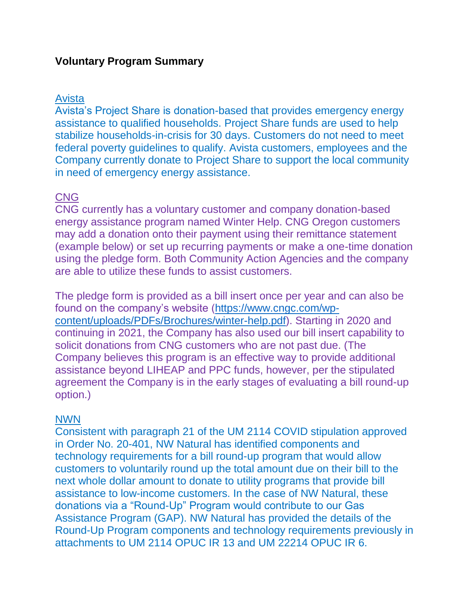# **Voluntary Program Summary**

### Avista

Avista's Project Share is donation-based that provides emergency energy assistance to qualified households. Project Share funds are used to help stabilize households-in-crisis for 30 days. Customers do not need to meet federal poverty guidelines to qualify. Avista customers, employees and the Company currently donate to Project Share to support the local community in need of emergency energy assistance.

# CNG

CNG currently has a voluntary customer and company donation-based energy assistance program named Winter Help. CNG Oregon customers may add a donation onto their payment using their remittance statement (example below) or set up recurring payments or make a one-time donation using the pledge form. Both Community Action Agencies and the company are able to utilize these funds to assist customers.

The pledge form is provided as a bill insert once per year and can also be found on the company's website [\(https://www.cngc.com/wp](https://www.cngc.com/wp-content/uploads/PDFs/Brochures/winter-help.pdf)[content/uploads/PDFs/Brochures/winter-help.pdf\)](https://www.cngc.com/wp-content/uploads/PDFs/Brochures/winter-help.pdf). Starting in 2020 and continuing in 2021, the Company has also used our bill insert capability to solicit donations from CNG customers who are not past due. (The Company believes this program is an effective way to provide additional assistance beyond LIHEAP and PPC funds, however, per the stipulated agreement the Company is in the early stages of evaluating a bill round-up option.)

### NWN

Consistent with paragraph 21 of the UM 2114 COVID stipulation approved in Order No. 20-401, NW Natural has identified components and technology requirements for a bill round-up program that would allow customers to voluntarily round up the total amount due on their bill to the next whole dollar amount to donate to utility programs that provide bill assistance to low-income customers. In the case of NW Natural, these donations via a "Round-Up" Program would contribute to our Gas Assistance Program (GAP). NW Natural has provided the details of the Round-Up Program components and technology requirements previously in attachments to UM 2114 OPUC IR 13 and UM 22214 OPUC IR 6.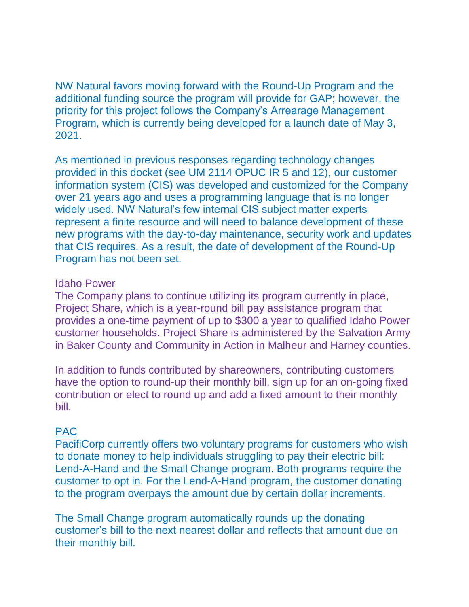NW Natural favors moving forward with the Round-Up Program and the additional funding source the program will provide for GAP; however, the priority for this project follows the Company's Arrearage Management Program, which is currently being developed for a launch date of May 3, 2021.

As mentioned in previous responses regarding technology changes provided in this docket (see UM 2114 OPUC IR 5 and 12), our customer information system (CIS) was developed and customized for the Company over 21 years ago and uses a programming language that is no longer widely used. NW Natural's few internal CIS subject matter experts represent a finite resource and will need to balance development of these new programs with the day-to-day maintenance, security work and updates that CIS requires. As a result, the date of development of the Round-Up Program has not been set.

#### Idaho Power

The Company plans to continue utilizing its program currently in place, Project Share, which is a year-round bill pay assistance program that provides a one-time payment of up to \$300 a year to qualified Idaho Power customer households. Project Share is administered by the Salvation Army in Baker County and Community in Action in Malheur and Harney counties.

In addition to funds contributed by shareowners, contributing customers have the option to round-up their monthly bill, sign up for an on-going fixed contribution or elect to round up and add a fixed amount to their monthly bill.

### PAC

PacifiCorp currently offers two voluntary programs for customers who wish to donate money to help individuals struggling to pay their electric bill: Lend-A-Hand and the Small Change program. Both programs require the customer to opt in. For the Lend-A-Hand program, the customer donating to the program overpays the amount due by certain dollar increments.

The Small Change program automatically rounds up the donating customer's bill to the next nearest dollar and reflects that amount due on their monthly bill.